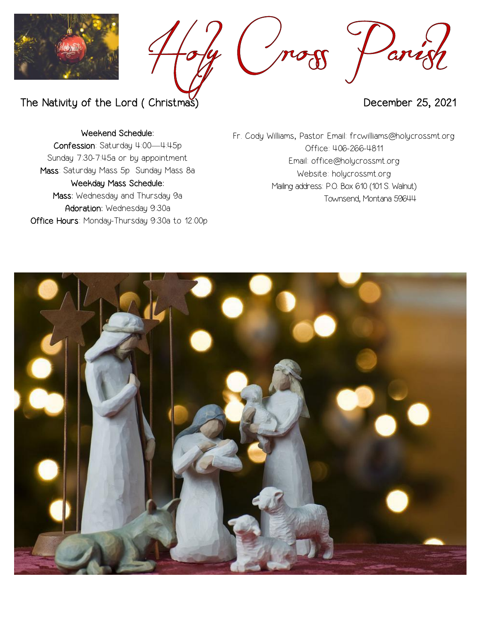



The Nativity of the Lord ( Christmas) and the United States of the December 25, 2021

Weekend Schedule:

Confession: Saturday 4:00—4:45p Sunday 7:30-7:45a or by appointment Mass: Saturday Mass 5p Sunday Mass 8a Weekday Mass Schedule: Mass: Wednesday and Thursday 9a Adoration: Wednesday 9:30a Office Hours: Monday-Thursday 9:30a to 12:00p Fr. Cody Williams, Pastor Email: frcwilliams@holycrossmt.org Office: 406-266-4811 Email: office@holycrossmt.org Website: holycrossmt.org Mailing address: P.O. Box 610 (101 S. Walnut) Townsend, Montana 59644